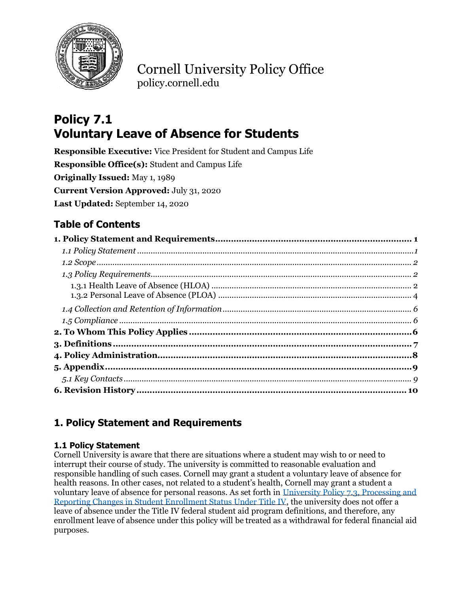

Cornell University Policy Office policy.cornell.edu

# **Policy 7.1 Voluntary Leave of Absence for Students**

**Responsible Executive:** Vice President for Student and Campus Life **Responsible Office(s):** Student and Campus Life **Originally Issued:** May 1, 1989 **Current Version Approved:** July 31, 2020 **Last Updated:** September 14, 2020

## **Table of Contents**

## <span id="page-0-0"></span>**1. Policy Statement and Requirements**

#### <span id="page-0-1"></span>**1.1 Policy Statement**

Cornell University is aware that there are situations where a student may wish to or need to interrupt their course of study. The university is committed to reasonable evaluation and responsible handling of such cases. Cornell may grant a student a voluntary leave of absence for health reasons. In other cases, not related to a student's health, Cornell may grant a student a voluntary leave of absence for personal reasons. As set forth in [University Policy 7.3, Processing and](https://www.dfa.cornell.edu/policy/policies/processing-and-reporting-changes-student-enrollment-status-under-title-iv)  [Reporting Changes in Student Enrollment Status Under Title IV,](https://www.dfa.cornell.edu/policy/policies/processing-and-reporting-changes-student-enrollment-status-under-title-iv) the university does not offer a leave of absence under the Title IV federal student aid program definitions, and therefore, any enrollment leave of absence under this policy will be treated as a withdrawal for federal financial aid purposes.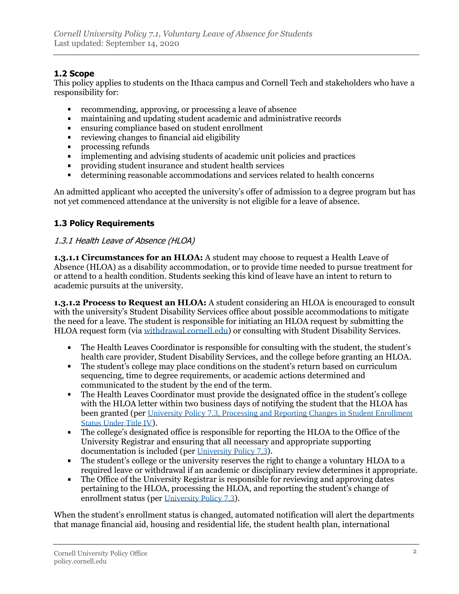#### <span id="page-1-0"></span>**1.2 Scope**

This policy applies to students on the Ithaca campus and Cornell Tech and stakeholders who have a responsibility for:

- recommending, approving, or processing a leave of absence  $\blacksquare$
- maintaining and updating student academic and administrative records
- ensuring compliance based on student enrollment  $\blacksquare$
- reviewing changes to financial aid eligibility  $\blacksquare$
- processing refunds  $\blacksquare$
- implementing and advising students of academic unit policies and practices  $\blacksquare$
- providing student insurance and student health services  $\blacksquare$
- $\blacksquare$ determining reasonable accommodations and services related to health concerns

An admitted applicant who accepted the university's offer of admission to a degree program but has not yet commenced attendance at the university is not eligible for a leave of absence.

#### <span id="page-1-1"></span>**1.3 Policy Requirements**

#### <span id="page-1-2"></span>1.3.1 Health Leave of Absence (HLOA)

**1.3.1.1 Circumstances for an HLOA:** A student may choose to request a Health Leave of Absence (HLOA) as a disability accommodation, or to provide time needed to pursue treatment for or attend to a health condition. Students seeking this kind of leave have an intent to return to academic pursuits at the university.

**1.3.1.2 Process to Request an HLOA:** A student considering an HLOA is encouraged to consult with the university's Student Disability Services office about possible accommodations to mitigate the need for a leave. The student is responsible for initiating an HLOA request by submitting the HLOA request form (via [withdrawal.cornell.edu\)](https://withdrawal.cornell.edu/) or consulting with Student Disability Services.

- The Health Leaves Coordinator is responsible for consulting with the student, the student's health care provider, Student Disability Services, and the college before granting an HLOA.
- The student's college may place conditions on the student's return based on curriculum sequencing, time to degree requirements, or academic actions determined and communicated to the student by the end of the term.
- The Health Leaves Coordinator must provide the designated office in the student's college  $\blacksquare$ with the HLOA letter within two business days of notifying the student that the HLOA has been granted (per [University Policy 7.3, Processing and Reporting Changes in Student Enrollment](https://www.dfa.cornell.edu/policy/policies/processing-and-reporting-changes-student-enrollment-status-under-title-iv)  [Status Under Title IV](https://www.dfa.cornell.edu/policy/policies/processing-and-reporting-changes-student-enrollment-status-under-title-iv)).
- The college's designated office is responsible for reporting the HLOA to the Office of the University Registrar and ensuring that all necessary and appropriate supporting documentation is included (per [University Policy 7.3](https://www.dfa.cornell.edu/policy/policies/processing-and-reporting-changes-student-enrollment-status-under-title-iv)).
- The student's college or the university reserves the right to change a voluntary HLOA to a required leave or withdrawal if an academic or disciplinary review determines it appropriate.
- The Office of the University Registrar is responsible for reviewing and approving dates  $\mathbf{r}$ pertaining to the HLOA, processing the HLOA, and reporting the student's change of enrollment status (per [University Policy 7.3](https://www.dfa.cornell.edu/policy/policies/processing-and-reporting-changes-student-enrollment-status-under-title-iv)).

When the student's enrollment status is changed, automated notification will alert the departments that manage financial aid, housing and residential life, the student health plan, international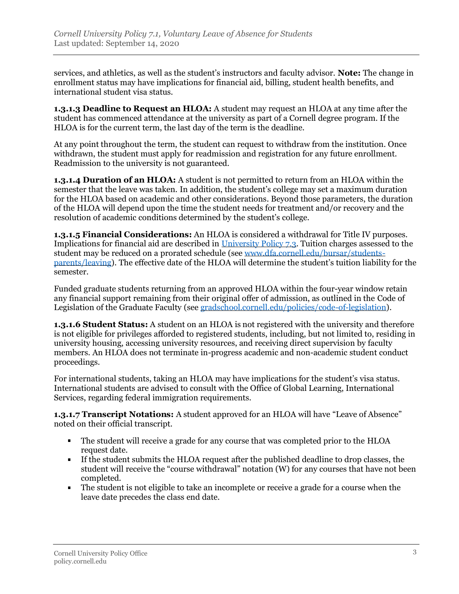services, and athletics, as well as the student's instructors and faculty advisor. **Note:** The change in enrollment status may have implications for financial aid, billing, student health benefits, and international student visa status.

**1.3.1.3 Deadline to Request an HLOA:** A student may request an HLOA at any time after the student has commenced attendance at the university as part of a Cornell degree program. If the HLOA is for the current term, the last day of the term is the deadline.

At any point throughout the term, the student can request to withdraw from the institution. Once withdrawn, the student must apply for readmission and registration for any future enrollment. Readmission to the university is not guaranteed.

**1.3.1.4 Duration of an HLOA:** A student is not permitted to return from an HLOA within the semester that the leave was taken. In addition, the student's college may set a maximum duration for the HLOA based on academic and other considerations. Beyond those parameters, the duration of the HLOA will depend upon the time the student needs for treatment and/or recovery and the resolution of academic conditions determined by the student's college.

**1.3.1.5 Financial Considerations:** An HLOA is considered a withdrawal for Title IV purposes. Implications for financial aid are described in [University Policy 7.3.](https://www.dfa.cornell.edu/policy/policies/processing-and-reporting-changes-student-enrollment-status-under-title-iv) Tuition charges assessed to the student may be reduced on a prorated schedule (see [www.dfa.cornell.edu/bursar/students](https://www.dfa.cornell.edu/bursar/students-parents/leaving)[parents/leaving\)](https://www.dfa.cornell.edu/bursar/students-parents/leaving). The effective date of the HLOA will determine the student's tuition liability for the semester.

Funded graduate students returning from an approved HLOA within the four-year window retain any financial support remaining from their original offer of admission, as outlined in the Code of Legislation of the Graduate Faculty (see [gradschool.cornell.edu/policies/code-of-legislation\)](https://gradschool.cornell.edu/policies/code-of-legislation/).

**1.3.1.6 Student Status:** A student on an HLOA is not registered with the university and therefore is not eligible for privileges afforded to registered students, including, but not limited to, residing in university housing, accessing university resources, and receiving direct supervision by faculty members. An HLOA does not terminate in-progress academic and non-academic student conduct proceedings.

For international students, taking an HLOA may have implications for the student's visa status. International students are advised to consult with the Office of Global Learning, International Services, regarding federal immigration requirements.

**1.3.1.7 Transcript Notations:** A student approved for an HLOA will have "Leave of Absence" noted on their official transcript.

- $\mathbf{u}$ The student will receive a grade for any course that was completed prior to the HLOA request date.
- If the student submits the HLOA request after the published deadline to drop classes, the student will receive the "course withdrawal" notation (W) for any courses that have not been completed.
- The student is not eligible to take an incomplete or receive a grade for a course when the  $\blacksquare$ leave date precedes the class end date.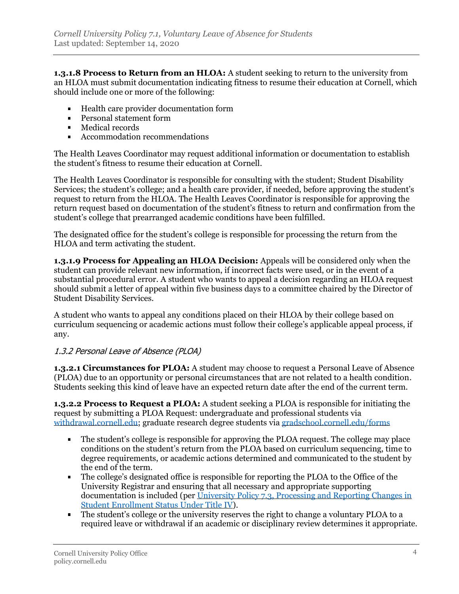**1.3.1.8 Process to Return from an HLOA:** A student seeking to return to the university from an HLOA must submit documentation indicating fitness to resume their education at Cornell, which should include one or more of the following:

- Health care provider documentation form
- **Personal statement form**
- **Medical records**
- **Accommodation recommendations**

The Health Leaves Coordinator may request additional information or documentation to establish the student's fitness to resume their education at Cornell.

The Health Leaves Coordinator is responsible for consulting with the student; Student Disability Services; the student's college; and a health care provider, if needed, before approving the student's request to return from the HLOA. The Health Leaves Coordinator is responsible for approving the return request based on documentation of the student's fitness to return and confirmation from the student's college that prearranged academic conditions have been fulfilled.

The designated office for the student's college is responsible for processing the return from the HLOA and term activating the student.

**1.3.1.9 Process for Appealing an HLOA Decision:** Appeals will be considered only when the student can provide relevant new information, if incorrect facts were used, or in the event of a substantial procedural error. A student who wants to appeal a decision regarding an HLOA request should submit a letter of appeal within five business days to a committee chaired by the Director of Student Disability Services.

A student who wants to appeal any conditions placed on their HLOA by their college based on curriculum sequencing or academic actions must follow their college's applicable appeal process, if any.

#### <span id="page-3-0"></span>1.3.2 Personal Leave of Absence (PLOA)

**1.3.2.1 Circumstances for PLOA:** A student may choose to request a Personal Leave of Absence (PLOA) due to an opportunity or personal circumstances that are not related to a health condition. Students seeking this kind of leave have an expected return date after the end of the current term.

**1.3.2.2 Process to Request a PLOA:** A student seeking a PLOA is responsible for initiating the request by submitting a PLOA Request: undergraduate and professional students via [withdrawal.cornell.edu;](https://withdrawal.cornell.edu/) graduate research degree students via [gradschool.cornell.edu/forms](https://gradschool.cornell.edu/forms)

- The student's college is responsible for approving the PLOA request. The college may place conditions on the student's return from the PLOA based on curriculum sequencing, time to degree requirements, or academic actions determined and communicated to the student by the end of the term.
- The college's designated office is responsible for reporting the PLOA to the Office of the University Registrar and ensuring that all necessary and appropriate supporting documentation is included (per [University Policy 7.3, Processing and Reporting Changes in](https://www.dfa.cornell.edu/policy/policies/processing-and-reporting-changes-student-enrollment-status-under-title-iv)  [Student Enrollment Status Under Title IV\)](https://www.dfa.cornell.edu/policy/policies/processing-and-reporting-changes-student-enrollment-status-under-title-iv).
- The student's college or the university reserves the right to change a voluntary PLOA to a  $\blacksquare$ required leave or withdrawal if an academic or disciplinary review determines it appropriate.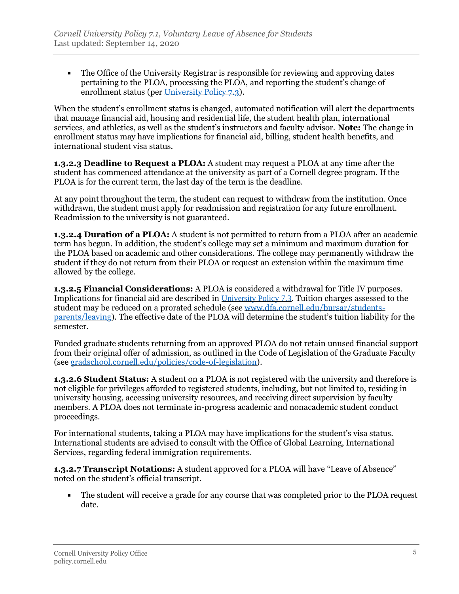The Office of the University Registrar is responsible for reviewing and approving dates pertaining to the PLOA, processing the PLOA, and reporting the student's change of enrollment status (per [University Policy 7.3\)](https://www.dfa.cornell.edu/policy/policies/processing-and-reporting-changes-student-enrollment-status-under-title-iv).

When the student's enrollment status is changed, automated notification will alert the departments that manage financial aid, housing and residential life, the student health plan, international services, and athletics, as well as the student's instructors and faculty advisor. **Note:** The change in enrollment status may have implications for financial aid, billing, student health benefits, and international student visa status.

**1.3.2.3 Deadline to Request a PLOA:** A student may request a PLOA at any time after the student has commenced attendance at the university as part of a Cornell degree program. If the PLOA is for the current term, the last day of the term is the deadline.

At any point throughout the term, the student can request to withdraw from the institution. Once withdrawn, the student must apply for readmission and registration for any future enrollment. Readmission to the university is not guaranteed.

**1.3.2.4 Duration of a PLOA:** A student is not permitted to return from a PLOA after an academic term has begun. In addition, the student's college may set a minimum and maximum duration for the PLOA based on academic and other considerations. The college may permanently withdraw the student if they do not return from their PLOA or request an extension within the maximum time allowed by the college.

**1.3.2.5 Financial Considerations:** A PLOA is considered a withdrawal for Title IV purposes. Implications for financial aid are described in [University Policy 7.3](https://www.dfa.cornell.edu/policy/policies/processing-and-reporting-changes-student-enrollment-status-under-title-iv). Tuition charges assessed to the student may be reduced on a prorated schedule (see [www.dfa.cornell.edu/bursar/students](https://www.dfa.cornell.edu/bursar/students-parents/leaving)[parents/leaving\)](https://www.dfa.cornell.edu/bursar/students-parents/leaving). The effective date of the PLOA will determine the student's tuition liability for the semester.

Funded graduate students returning from an approved PLOA do not retain unused financial support from their original offer of admission, as outlined in the Code of Legislation of the Graduate Faculty (see [gradschool.cornell.edu/policies/code-of-legislation\)](https://gradschool.cornell.edu/policies/code-of-legislation/).

**1.3.2.6 Student Status:** A student on a PLOA is not registered with the university and therefore is not eligible for privileges afforded to registered students, including, but not limited to, residing in university housing, accessing university resources, and receiving direct supervision by faculty members. A PLOA does not terminate in-progress academic and nonacademic student conduct proceedings.

For international students, taking a PLOA may have implications for the student's visa status. International students are advised to consult with the Office of Global Learning, International Services, regarding federal immigration requirements.

**1.3.2.7 Transcript Notations:** A student approved for a PLOA will have "Leave of Absence" noted on the student's official transcript.

 $\blacksquare$ The student will receive a grade for any course that was completed prior to the PLOA request date.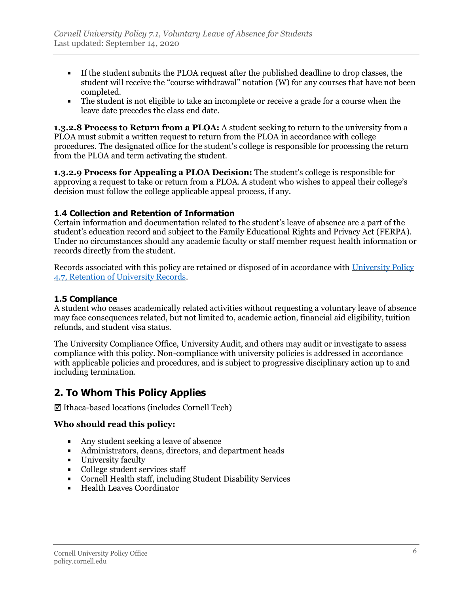- If the student submits the PLOA request after the published deadline to drop classes, the student will receive the "course withdrawal" notation (W) for any courses that have not been completed.
- The student is not eligible to take an incomplete or receive a grade for a course when the  $\blacksquare$ leave date precedes the class end date.

**1.3.2.8 Process to Return from a PLOA:** A student seeking to return to the university from a PLOA must submit a written request to return from the PLOA in accordance with college procedures. The designated office for the student's college is responsible for processing the return from the PLOA and term activating the student.

**1.3.2.9 Process for Appealing a PLOA Decision:** The student's college is responsible for approving a request to take or return from a PLOA. A student who wishes to appeal their college's decision must follow the college applicable appeal process, if any.

#### <span id="page-5-0"></span>**1.4 Collection and Retention of Information**

Certain information and documentation related to the student's leave of absence are a part of the student's education record and subject to the Family Educational Rights and Privacy Act (FERPA). Under no circumstances should any academic faculty or staff member request health information or records directly from the student.

Records associated with this policy are retained or disposed of in accordance with [University Policy](https://www.dfa.cornell.edu/policy/policies/retention-university-records)  [4.7, Retention of University Records.](https://www.dfa.cornell.edu/policy/policies/retention-university-records)

#### <span id="page-5-1"></span>**1.5 Compliance**

A student who ceases academically related activities without requesting a voluntary leave of absence may face consequences related, but not limited to, academic action, financial aid eligibility, tuition refunds, and student visa status.

The University Compliance Office, University Audit, and others may audit or investigate to assess compliance with this policy. Non-compliance with university policies is addressed in accordance with applicable policies and procedures, and is subject to progressive disciplinary action up to and including termination.

### <span id="page-5-2"></span>**2. To Whom This Policy Applies**

 $\boxtimes$  Ithaca-based locations (includes Cornell Tech)

#### **Who should read this policy:**

- Any student seeking a leave of absence
- Administrators, deans, directors, and department heads
- **University faculty**
- College student services staff
- Cornell Health staff, including Student Disability Services
- Health Leaves Coordinator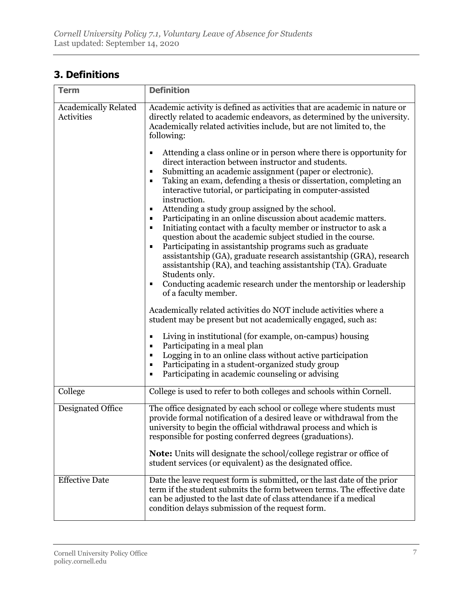### <span id="page-6-0"></span>**3. Definitions**

| <b>Term</b>                               | <b>Definition</b>                                                                                                                                                                                                                                                                                                                                                                                                                                                                                                                                                                                                                                                                                                                  |  |
|-------------------------------------------|------------------------------------------------------------------------------------------------------------------------------------------------------------------------------------------------------------------------------------------------------------------------------------------------------------------------------------------------------------------------------------------------------------------------------------------------------------------------------------------------------------------------------------------------------------------------------------------------------------------------------------------------------------------------------------------------------------------------------------|--|
| <b>Academically Related</b><br>Activities | Academic activity is defined as activities that are academic in nature or<br>directly related to academic endeavors, as determined by the university.<br>Academically related activities include, but are not limited to, the<br>following:<br>Attending a class online or in person where there is opportunity for<br>٠<br>direct interaction between instructor and students.<br>Submitting an academic assignment (paper or electronic).<br>٠<br>Taking an exam, defending a thesis or dissertation, completing an<br>interactive tutorial, or participating in computer-assisted<br>instruction.<br>Attending a study group assigned by the school.<br>Ξ<br>Participating in an online discussion about academic matters.<br>٠ |  |
|                                           | Initiating contact with a faculty member or instructor to ask a<br>п<br>question about the academic subject studied in the course.<br>Participating in assistantship programs such as graduate<br>٠<br>assistantship (GA), graduate research assistantship (GRA), research<br>assistantship (RA), and teaching assistantship (TA). Graduate<br>Students only.<br>Conducting academic research under the mentorship or leadership<br>п<br>of a faculty member.                                                                                                                                                                                                                                                                      |  |
|                                           | Academically related activities do NOT include activities where a<br>student may be present but not academically engaged, such as:<br>Living in institutional (for example, on-campus) housing<br>٠<br>Participating in a meal plan<br>٠<br>Logging in to an online class without active participation<br>٠<br>Participating in a student-organized study group<br>٠<br>Participating in academic counseling or advising<br>٠                                                                                                                                                                                                                                                                                                      |  |
| College                                   | College is used to refer to both colleges and schools within Cornell.                                                                                                                                                                                                                                                                                                                                                                                                                                                                                                                                                                                                                                                              |  |
| Designated Office                         | The office designated by each school or college where students must<br>provide formal notification of a desired leave or withdrawal from the<br>university to begin the official withdrawal process and which is<br>responsible for posting conferred degrees (graduations).<br><b>Note:</b> Units will designate the school/college registrar or office of<br>student services (or equivalent) as the designated office.                                                                                                                                                                                                                                                                                                          |  |
| <b>Effective Date</b>                     | Date the leave request form is submitted, or the last date of the prior<br>term if the student submits the form between terms. The effective date<br>can be adjusted to the last date of class attendance if a medical<br>condition delays submission of the request form.                                                                                                                                                                                                                                                                                                                                                                                                                                                         |  |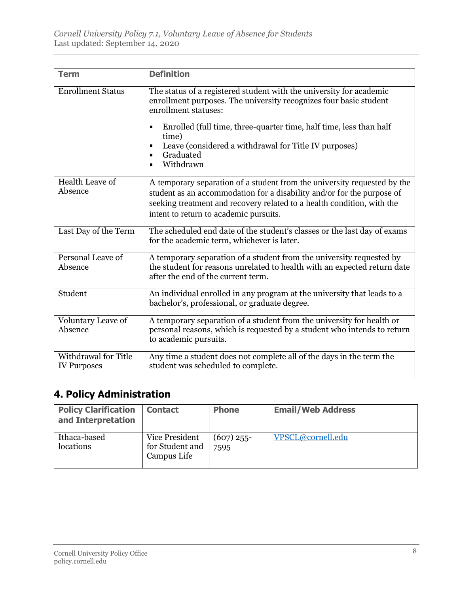| <b>Term</b>                                | <b>Definition</b>                                                                                                                                                                                                                                                                                                                                                                        |
|--------------------------------------------|------------------------------------------------------------------------------------------------------------------------------------------------------------------------------------------------------------------------------------------------------------------------------------------------------------------------------------------------------------------------------------------|
| <b>Enrollment Status</b>                   | The status of a registered student with the university for academic<br>enrollment purposes. The university recognizes four basic student<br>enrollment statuses:<br>Enrolled (full time, three-quarter time, half time, less than half<br>$\blacksquare$<br>time)<br>Leave (considered a withdrawal for Title IV purposes)<br>Graduated<br>$\blacksquare$<br>Withdrawn<br>$\blacksquare$ |
| Health Leave of<br>Absence                 | A temporary separation of a student from the university requested by the<br>student as an accommodation for a disability and/or for the purpose of<br>seeking treatment and recovery related to a health condition, with the<br>intent to return to academic pursuits.                                                                                                                   |
| Last Day of the Term                       | The scheduled end date of the student's classes or the last day of exams<br>for the academic term, whichever is later.                                                                                                                                                                                                                                                                   |
| Personal Leave of<br>Absence               | A temporary separation of a student from the university requested by<br>the student for reasons unrelated to health with an expected return date<br>after the end of the current term.                                                                                                                                                                                                   |
| Student                                    | An individual enrolled in any program at the university that leads to a<br>bachelor's, professional, or graduate degree.                                                                                                                                                                                                                                                                 |
| Voluntary Leave of<br>Absence              | A temporary separation of a student from the university for health or<br>personal reasons, which is requested by a student who intends to return<br>to academic pursuits.                                                                                                                                                                                                                |
| Withdrawal for Title<br><b>IV Purposes</b> | Any time a student does not complete all of the days in the term the<br>student was scheduled to complete.                                                                                                                                                                                                                                                                               |

# <span id="page-7-0"></span>**4. Policy Administration**

<span id="page-7-1"></span>

| <b>Policy Clarification</b><br>and Interpretation | <b>Contact</b>                                   | <b>Phone</b>         | <b>Email/Web Address</b> |
|---------------------------------------------------|--------------------------------------------------|----------------------|--------------------------|
| Ithaca-based<br>locations                         | Vice President<br>for Student and<br>Campus Life | $(607)$ 255-<br>7595 | VPSCL@cornell.edu        |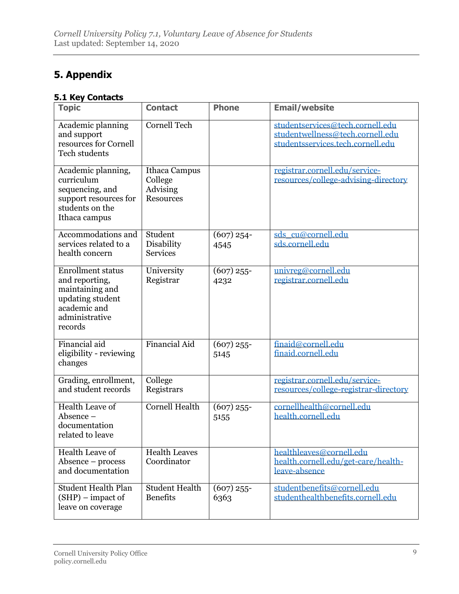## **5. Appendix**

#### <span id="page-8-0"></span>**5.1 Key Contacts**

| <b>Topic</b>                                                                                                                   | <b>Contact</b>                                           | <b>Phone</b>         | <b>Email/website</b>                                                                                      |
|--------------------------------------------------------------------------------------------------------------------------------|----------------------------------------------------------|----------------------|-----------------------------------------------------------------------------------------------------------|
| Academic planning<br>and support<br>resources for Cornell<br>Tech students                                                     | <b>Cornell Tech</b>                                      |                      | studentservices@tech.cornell.edu<br>studentwellness@tech.cornell.edu<br>studentsservices.tech.cornell.edu |
| Academic planning,<br>curriculum<br>sequencing, and<br>support resources for<br>students on the<br>Ithaca campus               | Ithaca Campus<br>College<br>Advising<br><b>Resources</b> |                      | registrar.cornell.edu/service-<br>resources/college-advising-directory                                    |
| Accommodations and<br>services related to a<br>health concern                                                                  | Student<br>Disability<br><b>Services</b>                 | $(607)$ 254-<br>4545 | sds cu@cornell.edu<br>sds.cornell.edu                                                                     |
| <b>Enrollment status</b><br>and reporting,<br>maintaining and<br>updating student<br>academic and<br>administrative<br>records | University<br>Registrar                                  | $(607)$ 255-<br>4232 | univreg@cornell.edu<br>registrar.cornell.edu                                                              |
| Financial aid<br>eligibility - reviewing<br>changes                                                                            | <b>Financial Aid</b>                                     | $(607)$ 255-<br>5145 | finaid@cornell.edu<br>finaid.cornell.edu                                                                  |
| Grading, enrollment,<br>and student records                                                                                    | College<br>Registrars                                    |                      | registrar.cornell.edu/service-<br>resources/college-registrar-directory                                   |
| Health Leave of<br>Absence -<br>documentation<br>related to leave                                                              | <b>Cornell Health</b>                                    | $(607)$ 255-<br>5155 | cornellhealth@cornell.edu<br>health.cornell.edu                                                           |
| <b>Health Leave of</b><br>Absence – process<br>and documentation                                                               | <b>Health Leaves</b><br>Coordinator                      |                      | healthleaves@cornell.edu<br>health.cornell.edu/get-care/health-<br>leave-absence                          |
| <b>Student Health Plan</b><br>$(SHP)$ – impact of<br>leave on coverage                                                         | <b>Student Health</b><br><b>Benefits</b>                 | $(607)$ 255-<br>6363 | studentbenefits@cornell.edu<br>studenthealthbenefits.cornell.edu                                          |